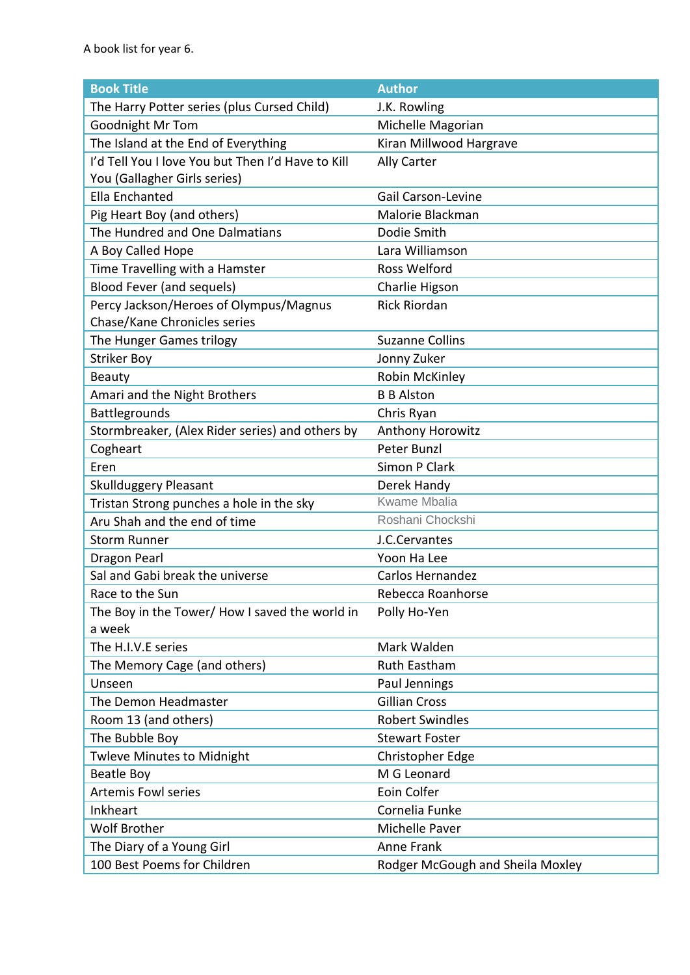| <b>Book Title</b>                                 | <b>Author</b>                    |
|---------------------------------------------------|----------------------------------|
| The Harry Potter series (plus Cursed Child)       | J.K. Rowling                     |
| Goodnight Mr Tom                                  | Michelle Magorian                |
| The Island at the End of Everything               | Kiran Millwood Hargrave          |
| I'd Tell You I love You but Then I'd Have to Kill | <b>Ally Carter</b>               |
| You (Gallagher Girls series)                      |                                  |
| <b>Ella Enchanted</b>                             | <b>Gail Carson-Levine</b>        |
| Pig Heart Boy (and others)                        | Malorie Blackman                 |
| The Hundred and One Dalmatians                    | Dodie Smith                      |
| A Boy Called Hope                                 | Lara Williamson                  |
| Time Travelling with a Hamster                    | Ross Welford                     |
| Blood Fever (and sequels)                         | Charlie Higson                   |
| Percy Jackson/Heroes of Olympus/Magnus            | <b>Rick Riordan</b>              |
| Chase/Kane Chronicles series                      |                                  |
| The Hunger Games trilogy                          | <b>Suzanne Collins</b>           |
| <b>Striker Boy</b>                                | Jonny Zuker                      |
| <b>Beauty</b>                                     | Robin McKinley                   |
| Amari and the Night Brothers                      | <b>B B Alston</b>                |
| <b>Battlegrounds</b>                              | Chris Ryan                       |
| Stormbreaker, (Alex Rider series) and others by   | Anthony Horowitz                 |
| Cogheart                                          | Peter Bunzl                      |
| Eren                                              | Simon P Clark                    |
| <b>Skullduggery Pleasant</b>                      | Derek Handy                      |
| Tristan Strong punches a hole in the sky          | <b>Kwame Mbalia</b>              |
| Aru Shah and the end of time                      | Roshani Chockshi                 |
| <b>Storm Runner</b>                               | J.C.Cervantes                    |
| Dragon Pearl                                      | Yoon Ha Lee                      |
| Sal and Gabi break the universe                   | <b>Carlos Hernandez</b>          |
| Race to the Sun                                   | Rebecca Roanhorse                |
| The Boy in the Tower/ How I saved the world in    | Polly Ho-Yen                     |
| a week                                            |                                  |
| The H.I.V.E series                                | Mark Walden                      |
| The Memory Cage (and others)                      | <b>Ruth Eastham</b>              |
| Unseen                                            | Paul Jennings                    |
| The Demon Headmaster                              | <b>Gillian Cross</b>             |
| Room 13 (and others)                              | <b>Robert Swindles</b>           |
| The Bubble Boy                                    | <b>Stewart Foster</b>            |
| <b>Twleve Minutes to Midnight</b>                 | Christopher Edge                 |
| Beatle Boy                                        | M G Leonard                      |
| <b>Artemis Fowl series</b>                        | Eoin Colfer                      |
| Inkheart                                          | Cornelia Funke                   |
| <b>Wolf Brother</b>                               | Michelle Paver                   |
| The Diary of a Young Girl                         | Anne Frank                       |
| 100 Best Poems for Children                       | Rodger McGough and Sheila Moxley |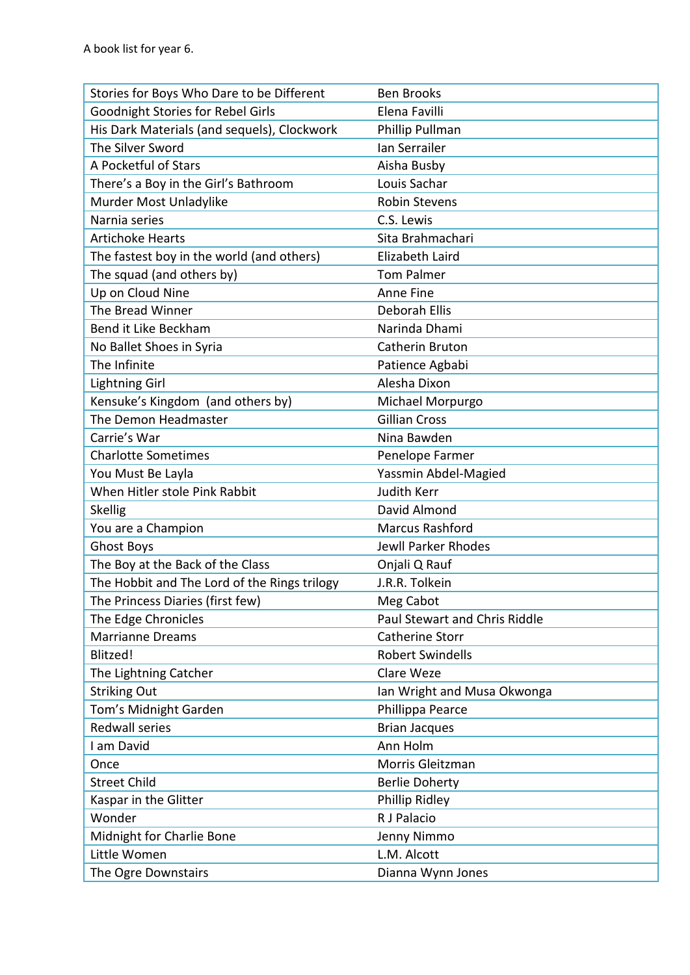| Goodnight Stories for Rebel Girls<br>Elena Favilli<br>His Dark Materials (and sequels), Clockwork<br>Phillip Pullman<br>The Silver Sword<br>Ian Serrailer<br>A Pocketful of Stars<br>Aisha Busby<br>There's a Boy in the Girl's Bathroom<br>Louis Sachar<br>Murder Most Unladylike<br><b>Robin Stevens</b><br>Narnia series<br>C.S. Lewis<br><b>Artichoke Hearts</b><br>Sita Brahmachari<br>The fastest boy in the world (and others)<br><b>Elizabeth Laird</b><br>The squad (and others by)<br><b>Tom Palmer</b><br>Up on Cloud Nine<br>Anne Fine<br>The Bread Winner<br>Deborah Ellis |
|-----------------------------------------------------------------------------------------------------------------------------------------------------------------------------------------------------------------------------------------------------------------------------------------------------------------------------------------------------------------------------------------------------------------------------------------------------------------------------------------------------------------------------------------------------------------------------------------|
|                                                                                                                                                                                                                                                                                                                                                                                                                                                                                                                                                                                         |
|                                                                                                                                                                                                                                                                                                                                                                                                                                                                                                                                                                                         |
|                                                                                                                                                                                                                                                                                                                                                                                                                                                                                                                                                                                         |
|                                                                                                                                                                                                                                                                                                                                                                                                                                                                                                                                                                                         |
|                                                                                                                                                                                                                                                                                                                                                                                                                                                                                                                                                                                         |
|                                                                                                                                                                                                                                                                                                                                                                                                                                                                                                                                                                                         |
|                                                                                                                                                                                                                                                                                                                                                                                                                                                                                                                                                                                         |
|                                                                                                                                                                                                                                                                                                                                                                                                                                                                                                                                                                                         |
|                                                                                                                                                                                                                                                                                                                                                                                                                                                                                                                                                                                         |
|                                                                                                                                                                                                                                                                                                                                                                                                                                                                                                                                                                                         |
|                                                                                                                                                                                                                                                                                                                                                                                                                                                                                                                                                                                         |
|                                                                                                                                                                                                                                                                                                                                                                                                                                                                                                                                                                                         |
| Bend it Like Beckham<br>Narinda Dhami                                                                                                                                                                                                                                                                                                                                                                                                                                                                                                                                                   |
| No Ballet Shoes in Syria<br>Catherin Bruton                                                                                                                                                                                                                                                                                                                                                                                                                                                                                                                                             |
| The Infinite<br>Patience Agbabi                                                                                                                                                                                                                                                                                                                                                                                                                                                                                                                                                         |
| Alesha Dixon<br><b>Lightning Girl</b>                                                                                                                                                                                                                                                                                                                                                                                                                                                                                                                                                   |
| Kensuke's Kingdom (and others by)<br>Michael Morpurgo                                                                                                                                                                                                                                                                                                                                                                                                                                                                                                                                   |
| <b>Gillian Cross</b><br>The Demon Headmaster                                                                                                                                                                                                                                                                                                                                                                                                                                                                                                                                            |
| Carrie's War<br>Nina Bawden                                                                                                                                                                                                                                                                                                                                                                                                                                                                                                                                                             |
| <b>Charlotte Sometimes</b><br>Penelope Farmer                                                                                                                                                                                                                                                                                                                                                                                                                                                                                                                                           |
| Yassmin Abdel-Magied<br>You Must Be Layla                                                                                                                                                                                                                                                                                                                                                                                                                                                                                                                                               |
| When Hitler stole Pink Rabbit<br><b>Judith Kerr</b>                                                                                                                                                                                                                                                                                                                                                                                                                                                                                                                                     |
| David Almond<br>Skellig                                                                                                                                                                                                                                                                                                                                                                                                                                                                                                                                                                 |
| You are a Champion<br><b>Marcus Rashford</b>                                                                                                                                                                                                                                                                                                                                                                                                                                                                                                                                            |
| <b>Ghost Boys</b><br><b>Jewll Parker Rhodes</b>                                                                                                                                                                                                                                                                                                                                                                                                                                                                                                                                         |
| The Boy at the Back of the Class<br>Onjali Q Rauf                                                                                                                                                                                                                                                                                                                                                                                                                                                                                                                                       |
| The Hobbit and The Lord of the Rings trilogy<br>J.R.R. Tolkein                                                                                                                                                                                                                                                                                                                                                                                                                                                                                                                          |
| The Princess Diaries (first few)<br>Meg Cabot                                                                                                                                                                                                                                                                                                                                                                                                                                                                                                                                           |
| The Edge Chronicles<br><b>Paul Stewart and Chris Riddle</b>                                                                                                                                                                                                                                                                                                                                                                                                                                                                                                                             |
| <b>Marrianne Dreams</b><br><b>Catherine Storr</b>                                                                                                                                                                                                                                                                                                                                                                                                                                                                                                                                       |
| Blitzed!<br><b>Robert Swindells</b>                                                                                                                                                                                                                                                                                                                                                                                                                                                                                                                                                     |
| The Lightning Catcher<br>Clare Weze                                                                                                                                                                                                                                                                                                                                                                                                                                                                                                                                                     |
| <b>Striking Out</b><br>Ian Wright and Musa Okwonga                                                                                                                                                                                                                                                                                                                                                                                                                                                                                                                                      |
| Tom's Midnight Garden<br>Phillippa Pearce                                                                                                                                                                                                                                                                                                                                                                                                                                                                                                                                               |
| <b>Redwall series</b><br><b>Brian Jacques</b>                                                                                                                                                                                                                                                                                                                                                                                                                                                                                                                                           |
| Ann Holm<br>I am David                                                                                                                                                                                                                                                                                                                                                                                                                                                                                                                                                                  |
| Morris Gleitzman<br>Once                                                                                                                                                                                                                                                                                                                                                                                                                                                                                                                                                                |
| <b>Street Child</b><br><b>Berlie Doherty</b>                                                                                                                                                                                                                                                                                                                                                                                                                                                                                                                                            |
| Phillip Ridley<br>Kaspar in the Glitter                                                                                                                                                                                                                                                                                                                                                                                                                                                                                                                                                 |
| Wonder<br>R J Palacio                                                                                                                                                                                                                                                                                                                                                                                                                                                                                                                                                                   |
| Midnight for Charlie Bone<br>Jenny Nimmo                                                                                                                                                                                                                                                                                                                                                                                                                                                                                                                                                |
| Little Women<br>L.M. Alcott                                                                                                                                                                                                                                                                                                                                                                                                                                                                                                                                                             |
| The Ogre Downstairs<br>Dianna Wynn Jones                                                                                                                                                                                                                                                                                                                                                                                                                                                                                                                                                |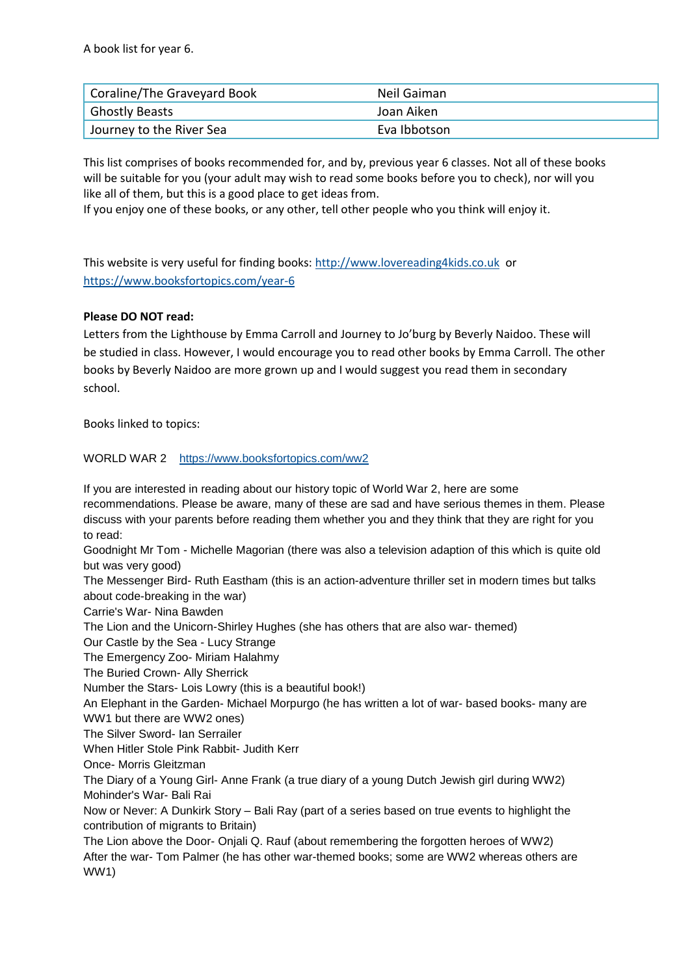A book list for year 6.

| Coraline/The Graveyard Book | Neil Gaiman  |
|-----------------------------|--------------|
| <b>Ghostly Beasts</b>       | Joan Aiken   |
| Journey to the River Sea    | Eva Ibbotson |

This list comprises of books recommended for, and by, previous year 6 classes. Not all of these books will be suitable for you (your adult may wish to read some books before you to check), nor will you like all of them, but this is a good place to get ideas from.

If you enjoy one of these books, or any other, tell other people who you think will enjoy it.

This website is very useful for finding books: [http://www.lovereading4kids.co.uk](http://www.lovereading4kids.co.uk/) or <https://www.booksfortopics.com/year-6>

## **Please DO NOT read:**

Letters from the Lighthouse by Emma Carroll and Journey to Jo'burg by Beverly Naidoo. These will be studied in class. However, I would encourage you to read other books by Emma Carroll. The other books by Beverly Naidoo are more grown up and I would suggest you read them in secondary school.

Books linked to topics:

## WORLD WAR 2 <https://www.booksfortopics.com/ww2>

If you are interested in reading about our history topic of World War 2, here are some recommendations. Please be aware, many of these are sad and have serious themes in them. Please discuss with your parents before reading them whether you and they think that they are right for you to read:

Goodnight Mr Tom - Michelle Magorian (there was also a television adaption of this which is quite old but was very good)

The Messenger Bird- Ruth Eastham (this is an action-adventure thriller set in modern times but talks about code-breaking in the war)

Carrie's War- Nina Bawden

The Lion and the Unicorn-Shirley Hughes (she has others that are also war- themed)

Our Castle by the Sea - Lucy Strange

The Emergency Zoo- Miriam Halahmy

The Buried Crown- Ally Sherrick

Number the Stars- Lois Lowry (this is a beautiful book!)

An Elephant in the Garden- Michael Morpurgo (he has written a lot of war- based books- many are WW1 but there are WW2 ones)

The Silver Sword- Ian Serrailer

When Hitler Stole Pink Rabbit- Judith Kerr

Once- Morris Gleitzman

The Diary of a Young Girl- Anne Frank (a true diary of a young Dutch Jewish girl during WW2) Mohinder's War- Bali Rai

Now or Never: A Dunkirk Story – Bali Ray (part of a series based on true events to highlight the contribution of migrants to Britain)

The Lion above the Door- Onjali Q. Rauf (about remembering the forgotten heroes of WW2) After the war- Tom Palmer (he has other war-themed books; some are WW2 whereas others are WW1)